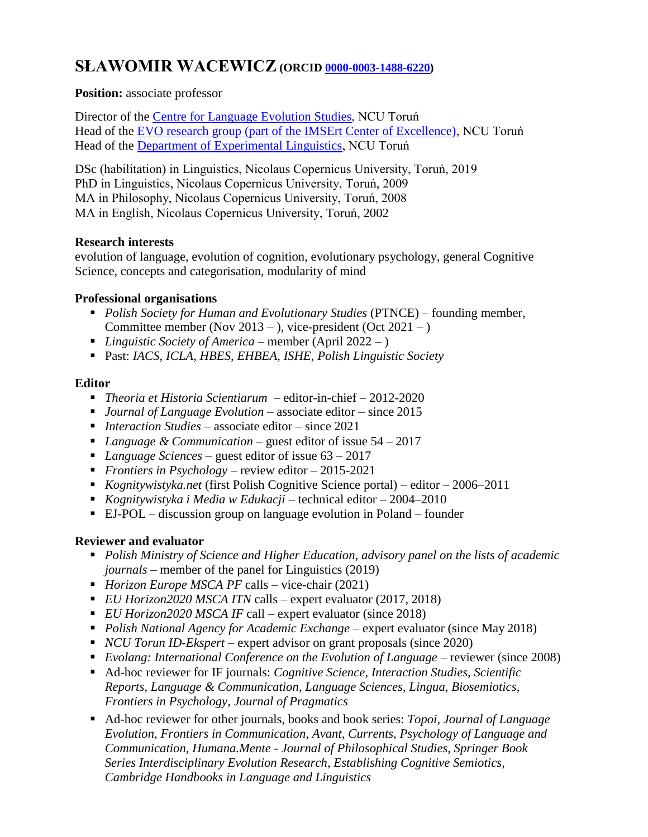# **SŁAWOMIR WACEWICZ** (ORCID [0000-0003-1488-6220\)](https://orcid.org/0000-0003-1488-6220)

**Position:** associate professor

Director of the [Centre for Language Evolution Studies,](http://www.cles.umk.pl/) NCU Toruń Head of the [EVO research group \(part of the IMSErt Center of Excellence\),](https://imsert.umk.pl/centrum/zespol-evo/) NCU Toruń Head of the [Department of Experimental Linguistics,](https://www.human.umk.pl/katedra-jezykoznawstwa-eksperymentalnego/) NCU Toruń

DSc (habilitation) in Linguistics, Nicolaus Copernicus University, Toruń, 2019 PhD in Linguistics, Nicolaus Copernicus University, Toruń, 2009 MA in Philosophy, Nicolaus Copernicus University, Toruń, 2008 MA in English, Nicolaus Copernicus University, Toruń, 2002

#### **Research interests**

evolution of language, evolution of cognition, evolutionary psychology, general Cognitive Science, concepts and categorisation, modularity of mind

### **Professional organisations**

- **Polish Society for Human and Evolutionary Studies (PTNCE)** founding member, Committee member (Nov 2013 – ), vice-president (Oct 2021 – )
- *Linguistic Society of America* member (April 2022 )
- Past: *IACS, ICLA, HBES, EHBEA, ISHE, Polish Linguistic Society*

### **Editor**

- *Theoria et Historia Scientiarum* editor-in-chief 2012-2020
- *Journal of Language Evolution* associate editor since 2015
- *Interaction Studies*  associate editor since 2021
- *Language & Communication* guest editor of issue 54 2017
- *Language Sciences* guest editor of issue 63 2017
- *Frontiers in Psychology*  review editor 2015-2021
- *Kognitywistyka.net* (first Polish Cognitive Science portal) editor 2006–2011
- *Kognitywistyka i Media w Edukacji*  technical editor 2004–2010
- EJ-POL discussion group on language evolution in Poland founder

# **Reviewer and evaluator**

- *Polish Ministry of Science and Higher Education, advisory panel on the lists of academic journals* – member of the panel for Linguistics (2019)
- *Horizon Europe MSCA PF* calls vice-chair (2021)
- *EU Horizon2020 MSCA ITN* calls expert evaluator (2017, 2018)
- *EU Horizon2020 MSCA IF* call expert evaluator (since 2018)
- **Polish National Agency for Academic Exchange expert evaluator (since May 2018)**
- *NCU Torun ID-Ekspert* expert advisor on grant proposals (since 2020)
- *Evolang: International Conference on the Evolution of Language* reviewer (since 2008)
- Ad-hoc reviewer for IF journals: *Cognitive Science*, *Interaction Studies*, *Scientific Reports*, *Language & Communication*, *Language Sciences, Lingua, Biosemiotics, Frontiers in Psychology, Journal of Pragmatics*
- Ad-hoc reviewer for other journals, books and book series: *Topoi*, *Journal of Language Evolution*, *Frontiers in Communication*, *Avant*, *Currents*, *Psychology of Language and Communication*, *Humana.Mente - Journal of Philosophical Studies, Springer Book Series Interdisciplinary Evolution Research*, *Establishing Cognitive Semiotics, Cambridge Handbooks in Language and Linguistics*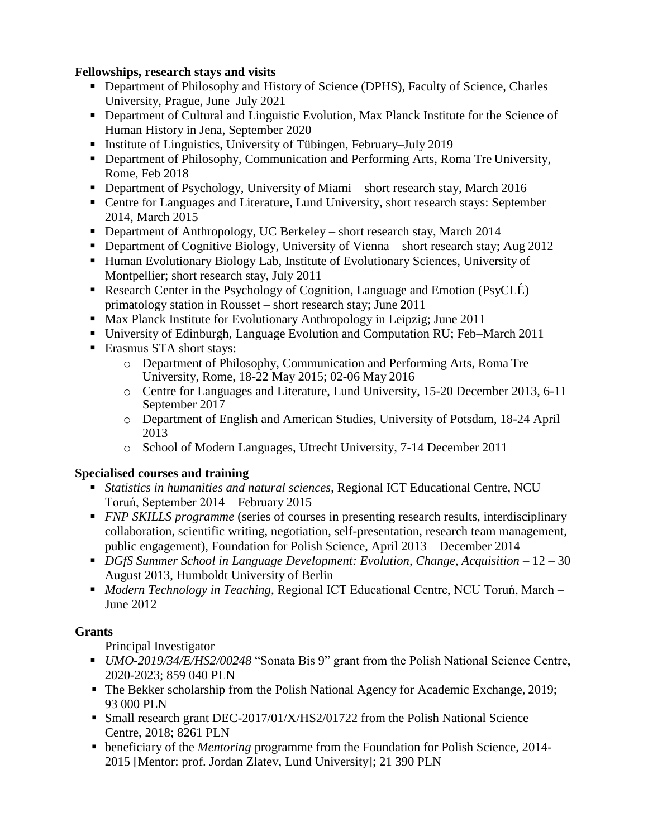### **Fellowships, research stays and visits**

- Department of Philosophy and History of Science (DPHS), Faculty of Science, Charles University, Prague, June–July 2021
- Department of Cultural and Linguistic Evolution, Max Planck Institute for the Science of Human History in Jena, September 2020
- Institute of Linguistics, University of Tübingen, February–July 2019
- **Department of Philosophy, Communication and Performing Arts, Roma Tre University,** Rome, Feb 2018
- Department of Psychology, University of Miami short research stay, March 2016
- Centre for Languages and Literature, Lund University, short research stays: September 2014, March 2015
- Department of Anthropology, UC Berkeley short research stay, March 2014
- **Department of Cognitive Biology, University of Vienna** short research stay; Aug 2012
- Human Evolutionary Biology Lab, Institute of Evolutionary Sciences, University of Montpellier; short research stay, July 2011
- Research Center in the Psychology of Cognition, Language and Emotion (PsyCLÉ) primatology station in Rousset – short research stay; June 2011
- Max Planck Institute for Evolutionary Anthropology in Leipzig; June 2011
- University of Edinburgh, Language Evolution and Computation RU; Feb–March 2011
- **Example STA** short stays:
	- o Department of Philosophy, Communication and Performing Arts, Roma Tre University, Rome, 18-22 May 2015; 02-06 May 2016
	- o Centre for Languages and Literature, Lund University, 15-20 December 2013, 6-11 September 2017
	- o Department of English and American Studies, University of Potsdam, 18-24 April 2013
	- o School of Modern Languages, Utrecht University, 7-14 December 2011

#### **Specialised courses and training**

- *Statistics in humanities and natural sciences*, Regional ICT Educational Centre, NCU Toruń, September 2014 – February 2015
- **FIVP SKILLS** programme (series of courses in presenting research results, interdisciplinary collaboration, scientific writing, negotiation, self-presentation, research team management, public engagement), Foundation for Polish Science, April 2013 – December 2014
- **DGfS Summer School in Language Development: Evolution, Change, Acquisition 12 30** August 2013, Humboldt University of Berlin
- *Modern Technology in Teaching*, Regional ICT Educational Centre, NCU Toruń, March June 2012

# **Grants**

Principal Investigator

- *UMO-2019/34/E/HS2/00248* "Sonata Bis 9" grant from the Polish National Science Centre, 2020-2023; 859 040 PLN
- The Bekker scholarship from the Polish National Agency for Academic Exchange, 2019; 93 000 PLN
- Small research grant DEC-2017/01/X/HS2/01722 from the Polish National Science Centre, 2018; 8261 PLN
- beneficiary of the *Mentoring* programme from the Foundation for Polish Science, 2014- 2015 [Mentor: prof. Jordan Zlatev, Lund University]; 21 390 PLN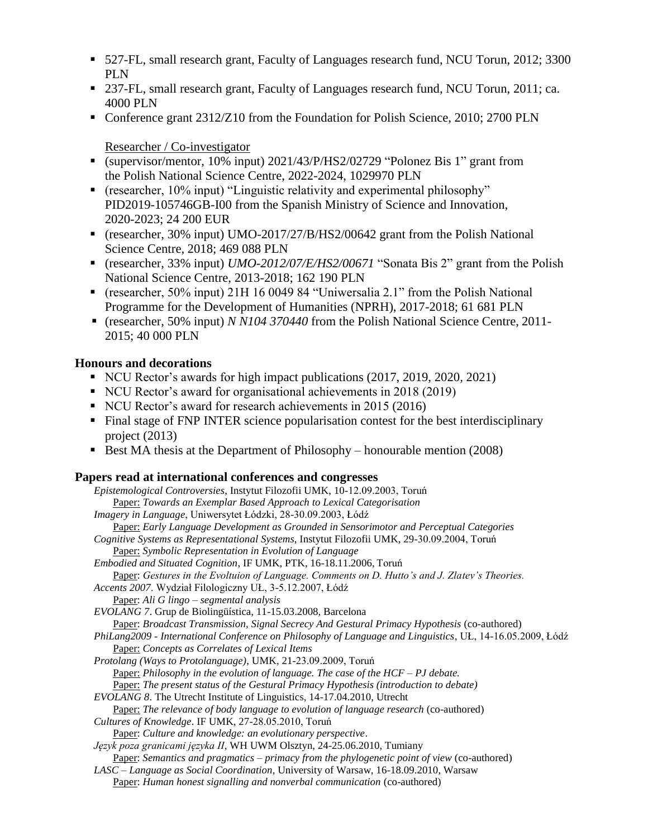- 527-FL, small research grant, Faculty of Languages research fund, NCU Torun, 2012; 3300 PLN
- 237-FL, small research grant, Faculty of Languages research fund, NCU Torun, 2011; ca. 4000 PLN
- Conference grant  $2312/Z10$  from the Foundation for Polish Science, 2010; 2700 PLN

#### Researcher / Co-investigator

- (supervisor/mentor, 10% input) 2021/43/P/HS2/02729 "Polonez Bis 1" grant from the Polish National Science Centre, 2022-2024, 1029970 PLN
- (researcher, 10% input) "Linguistic relativity and experimental philosophy" PID2019-105746GB-I00 from the Spanish Ministry of Science and Innovation, 2020-2023; 24 200 EUR
- (researcher, 30% input) UMO-2017/27/B/HS2/00642 grant from the Polish National Science Centre, 2018; 469 088 PLN
- (researcher, 33% input) *UMO-2012/07/E/HS2/00671* "Sonata Bis 2" grant from the Polish National Science Centre, 2013-2018; 162 190 PLN
- (researcher, 50% input) 21H 16 0049 84 "Uniwersalia 2.1" from the Polish National Programme for the Development of Humanities (NPRH), 2017-2018; 61 681 PLN
- (researcher, 50% input) *N N104 370440* from the Polish National Science Centre, 2011- 2015; 40 000 PLN

### **Honours and decorations**

- NCU Rector's awards for high impact publications (2017, 2019, 2020, 2021)
- NCU Rector's award for organisational achievements in 2018 (2019)
- NCU Rector's award for research achievements in 2015 (2016)
- Final stage of FNP INTER science popularisation contest for the best interdisciplinary project (2013)
- Best MA thesis at the Department of Philosophy honourable mention (2008)

#### **Papers read at international conferences and congresses**

| Epistemological Controversies, Instytut Filozofii UMK, 10-12.09.2003, Toruń                               |
|-----------------------------------------------------------------------------------------------------------|
| Paper: Towards an Exemplar Based Approach to Lexical Categorisation                                       |
| Imagery in Language, Uniwersytet Łódzki, 28-30.09.2003, Łódź                                              |
| Paper: Early Language Development as Grounded in Sensorimotor and Perceptual Categories                   |
| Cognitive Systems as Representational Systems, Instytut Filozofii UMK, 29-30.09.2004, Toruń               |
| Paper: Symbolic Representation in Evolution of Language                                                   |
| Embodied and Situated Cognition, IF UMK, PTK, 16-18.11.2006, Toruń                                        |
| Paper: Gestures in the Evoltuion of Language. Comments on D. Hutto's and J. Zlatev's Theories.            |
| Accents 2007. Wydział Filologiczny UŁ, 3-5.12.2007, Łódź                                                  |
| Paper: Ali G lingo – segmental analysis                                                                   |
| EVOLANG 7. Grup de Biolingüística, 11-15.03.2008, Barcelona                                               |
| Paper: Broadcast Transmission, Signal Secrecy And Gestural Primacy Hypothesis (co-authored)               |
| PhiLang2009 - International Conference on Philosophy of Language and Linguistics, UŁ, 14-16.05.2009, Łódź |
| Paper: Concepts as Correlates of Lexical Items                                                            |
| Protolang (Ways to Protolanguage), UMK, 21-23.09.2009, Toruń                                              |
| <b>Paper:</b> Philosophy in the evolution of language. The case of the $HCF - PJ$ debate.                 |
| Paper: The present status of the Gestural Primacy Hypothesis (introduction to debate)                     |
| EVOLANG 8. The Utrecht Institute of Linguistics, 14-17.04.2010, Utrecht                                   |
| Paper: The relevance of body language to evolution of language research (co-authored)                     |
| Cultures of Knowledge. IF UMK, 27-28.05.2010, Toruń                                                       |
| Paper: Culture and knowledge: an evolutionary perspective.                                                |
| Język poza granicami języka II, WH UWM Olsztyn, 24-25.06.2010, Tumiany                                    |
| <b>Paper:</b> Semantics and pragmatics $-$ primacy from the phylogenetic point of view (co-authored)      |
| LASC - Language as Social Coordination, University of Warsaw, 16-18.09.2010, Warsaw                       |
|                                                                                                           |

Paper: *Human honest signalling and nonverbal communication* (co-authored)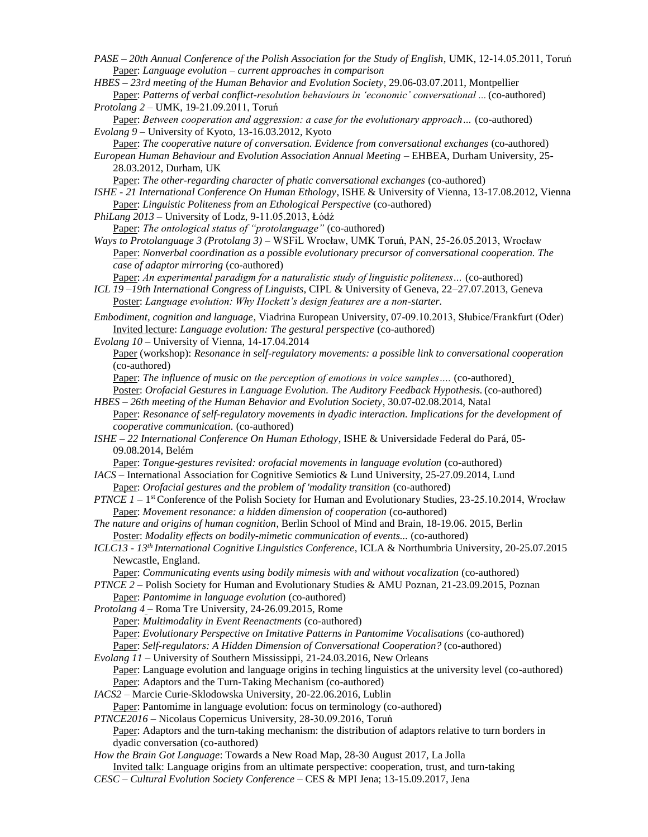*PASE – 20th Annual Conference of the Polish Association for the Study of English*, UMK, 12-14.05.2011, Toruń Paper: *Language evolution – current approaches in comparison*

*HBES* – *23rd meeting of the Human Behavior and Evolution Society*, 29.06-03.07.2011, Montpellier Paper: *Patterns of verbal conflict-resolution behaviours in 'economic' conversational ...*(co-authored) *Protolang 2* – UMK, 19-21.09.2011, Toruń

Paper: *Between cooperation and aggression: a case for the evolutionary approach...* (co-authored) *Evolang 9* – University of Kyoto, 13-16.03.2012, Kyoto

Paper: *The cooperative nature of conversation. Evidence from conversational exchanges* (co-authored) *European Human Behaviour and Evolution Association Annual Meeting* – EHBEA, Durham University, 25-

28.03.2012, Durham, UK Paper: *The other-regarding character of phatic conversational exchanges* (co-authored)

*ISHE - 21 International Conference On Human Ethology*, ISHE & University of Vienna, 13-17.08.2012, Vienna Paper: *Linguistic Politeness from an Ethological Perspective* (co-authored)

- *PhiLang 2013*  University of Lodz, 9-11.05.2013, Łódź
- Paper: *The ontological status of "protolanguage"* (co-authored) *Ways to Protolanguage 3 (Protolang 3)* – WSFiL Wrocław, UMK Toruń, PAN, 25-26.05.2013, Wrocław Paper: *Nonverbal coordination as a possible evolutionary precursor of conversational cooperation. The case of adaptor mirroring* (co-authored)

Paper: *An experimental paradigm for a naturalistic study of linguistic politeness...* (co-authored) *ICL 19 –19th International Congress of Linguists*, CIPL & University of Geneva, 22–27.07.2013, Geneva Poster: *Language evolution: Why Hockett's design features are a non-starter.*

*Embodiment, cognition and language*, Viadrina European University, 07-09.10.2013, Słubice/Frankfurt (Oder) Invited lecture: *Language evolution: The gestural perspective* (co-authored)

*Evolang 10* – University of Vienna, 14-17.04.2014

Paper (workshop): *Resonance in self-regulatory movements: a possible link to conversational cooperation* (co-authored)

Paper: *The influence of music on the perception of emotions in voice samples....* (co-authored)

Poster: *Orofacial Gestures in Language Evolution. The Auditory Feedback Hypothesis.* (co-authored) *HBES* – *26th meeting of the Human Behavior and Evolution Society*, 30.07-02.08.2014, Natal

- Paper: *Resonance of self-regulatory movements in dyadic interaction. Implications for the development of cooperative communication.* (co-authored)
- *ISHE – 22 International Conference On Human Ethology*, ISHE & Universidade Federal do Pará, 05- 09.08.2014, Belém

Paper: *Tongue-gestures revisited: orofacial movements in language evolution* (co-authored)

- *IACS*  International Association for Cognitive Semiotics & Lund University, 25-27.09.2014, Lund Paper: *Orofacial gestures and the problem of 'modality transition* (co-authored)
- *PTNCE 1* 1<sup>st</sup> Conference of the Polish Society for Human and Evolutionary Studies, 23-25.10.2014, Wrocław Paper: *Movement resonance: a hidden dimension of cooperation* (co-authored)
- *The nature and origins of human cognition*, Berlin School of Mind and Brain, 18-19.06. 2015, Berlin Poster: *Modality effects on bodily-mimetic communication of events...* (co-authored)
- *ICLC13 13th International Cognitive Linguistics Conference*, ICLA & Northumbria University, 20-25.07.2015 Newcastle, England.

Paper: *Communicating events using bodily mimesis with and without vocalization* (co-authored)

*PTNCE 2 –* Polish Society for Human and Evolutionary Studies & AMU Poznan, 21-23.09.2015, Poznan Paper: *Pantomime in language evolution* (co-authored)

*Protolang 4* – Roma Tre University, 24-26.09.2015, Rome Paper: *Multimodality in Event Reenactments* (co-authored) Paper: *Evolutionary Perspective on Imitative Patterns in Pantomime Vocalisations* (co-authored) Paper: Self-regulators: A Hidden Dimension of Conversational Cooperation? (co-authored)

- *Evolang 11*  University of Southern Mississippi, 21-24.03.2016, New Orleans Paper: Language evolution and language origins in teching linguistics at the university level (co-authored) Paper: Adaptors and the Turn-Taking Mechanism (co-authored)
- *IACS2*  Marcie Curie-Sklodowska University, 20-22.06.2016, Lublin Paper: Pantomime in language evolution: focus on terminology (co-authored)

*PTNCE2016* – Nicolaus Copernicus University, 28-30.09.2016, Toruń

Paper: Adaptors and the turn-taking mechanism: the distribution of adaptors relative to turn borders in dyadic conversation (co-authored)

*How the Brain Got Language*: Towards a New Road Map, 28-30 August 2017, La Jolla

Invited talk: Language origins from an ultimate perspective: cooperation, trust, and turn-taking

*CESC – Cultural Evolution Society Conference* – CES & MPI Jena; 13-15.09.2017, Jena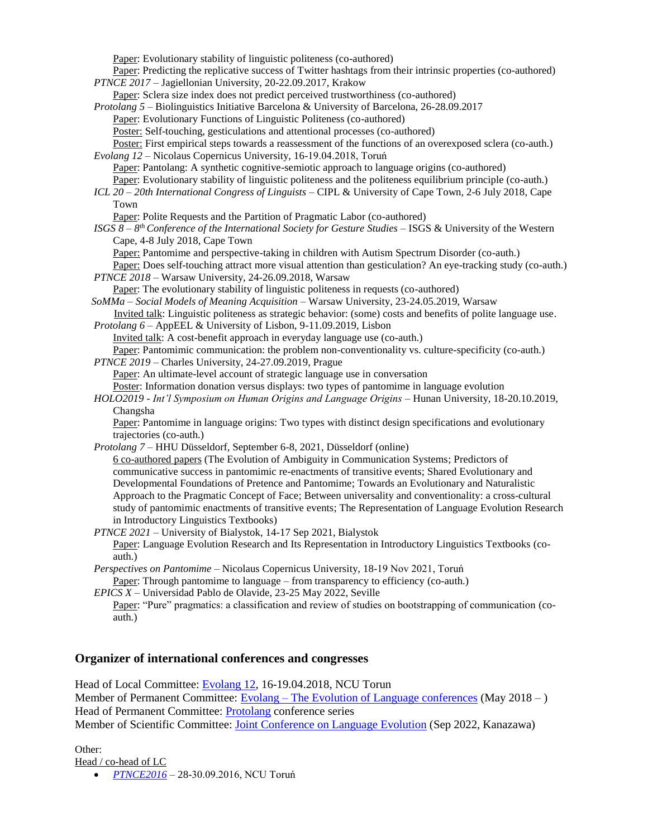Paper: Evolutionary stability of linguistic politeness (co-authored)

- Paper: Predicting the replicative success of Twitter hashtags from their intrinsic properties (co-authored) *PTNCE 2017* – Jagiellonian University, 20-22.09.2017, Krakow
- Paper: Sclera size index does not predict perceived trustworthiness (co-authored)
- *Protolang 5*  Biolinguistics Initiative Barcelona & University of Barcelona, 26-28.09.2017
	- Paper: Evolutionary Functions of Linguistic Politeness (co-authored)

Poster: Self-touching, gesticulations and attentional processes (co-authored)

Poster: First empirical steps towards a reassessment of the functions of an overexposed sclera (co-auth.) *Evolang 12* – Nicolaus Copernicus University, 16-19.04.2018, Toruń

Paper: Pantolang: A synthetic cognitive-semiotic approach to language origins (co-authored)

Paper: Evolutionary stability of linguistic politeness and the politeness equilibrium principle (co-auth.)

- *ICL 20 – 20th International Congress of Linguists*  CIPL & University of Cape Town, 2-6 July 2018, Cape Town
	- Paper: Polite Requests and the Partition of Pragmatic Labor (co-authored)

*ISGS 8 – 8<sup>th</sup> Conference of the International Society for Gesture Studies – ISGS & University of the Western* Cape, 4-8 July 2018, Cape Town

Paper: Pantomime and perspective-taking in children with Autism Spectrum Disorder (co-auth.)

Paper: Does self-touching attract more visual attention than gesticulation? An eye-tracking study (co-auth.) *PTNCE 2018* – Warsaw University, 24-26.09.2018, Warsaw

Paper: The evolutionary stability of linguistic politeness in requests (co-authored)

*SoMMa* – *Social Models of Meaning Acquisition* – Warsaw University, 23-24.05.2019, Warsaw

Invited talk: Linguistic politeness as strategic behavior: (some) costs and benefits of polite language use. *Protolang 6* – AppEEL & University of Lisbon, 9-11.09.2019, Lisbon

Invited talk: A cost-benefit approach in everyday language use (co-auth.)

Paper: Pantomimic communication: the problem non-conventionality vs. culture-specificity (co-auth.) *PTNCE 2019* – Charles University, 24-27.09.2019, Prague

Paper: An ultimate-level account of strategic language use in conversation

Poster: Information donation versus displays: two types of pantomime in language evolution

*HOLO2019 - Int'l Symposium on Human Origins and Language Origins* – Hunan University, 18-20.10.2019, Changsha

Paper: Pantomime in language origins: Two types with distinct design specifications and evolutionary trajectories (co-auth.)

*Protolang 7* – HHU Düsseldorf, September 6-8, 2021, Düsseldorf (online)

6 co-authored papers (The Evolution of Ambiguity in Communication Systems; Predictors of communicative success in pantomimic re-enactments of transitive events; Shared Evolutionary and Developmental Foundations of Pretence and Pantomime; Towards an Evolutionary and Naturalistic Approach to the Pragmatic Concept of Face; Between universality and conventionality: a cross-cultural study of pantomimic enactments of transitive events; The Representation of Language Evolution Research in Introductory Linguistics Textbooks)

*PTNCE 2021* – University of Bialystok, 14-17 Sep 2021, Bialystok Paper: Language Evolution Research and Its Representation in Introductory Linguistics Textbooks (coauth.)

*Perspectives on Pantomime* – Nicolaus Copernicus University, 18-19 Nov 2021, Toruń Paper: Through pantomime to language – from transparency to efficiency (co-auth.)

*EPICS X –* Universidad Pablo de Olavide, 23-25 May 2022, Seville

Paper: "Pure" pragmatics: a classification and review of studies on bootstrapping of communication (coauth.)

#### **Organizer of international conferences and congresses**

Head of Local Committee: [Evolang 12, 1](https://evolang.cles.umk.pl/)6-19.04.2018, NCU Torun Member of Permanent Committee: Evolang – [The Evolution of Language conferences](http://evolang.org/Organization) (May 2018 – ) Head of Permanent Committee: [Protolang](http://www.protolang.org/) conference series Member of Scientific Committee: [Joint Conference on Language Evolution](https://sites.google.com/view/joint-conf-language-evolution/home) (Sep 2022, Kanazawa)

Other: Head / co-head of LC

*[PTNCE2016](https://www.ptnce2016.umk.pl/) –* 28-30.09.2016, NCU Toruń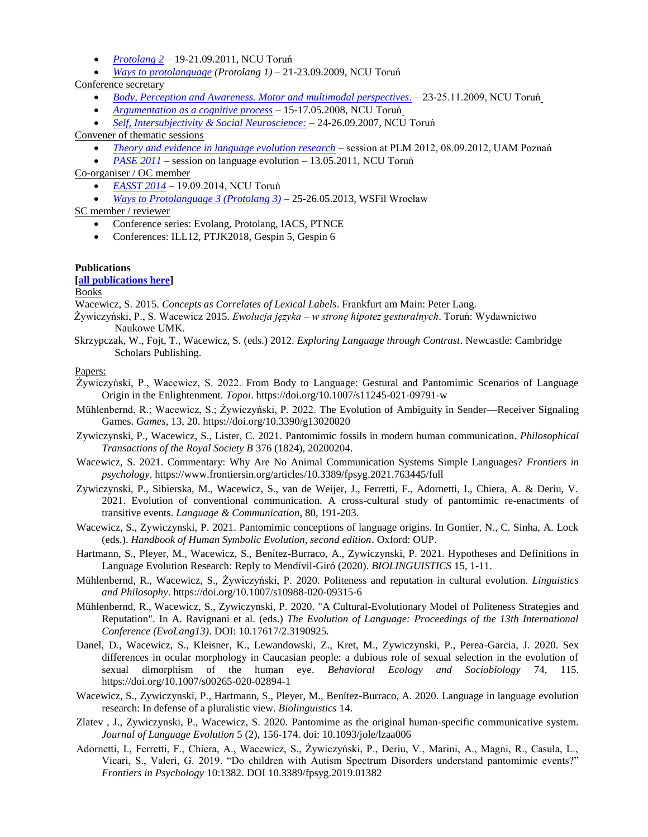- *[Protolang 2](http://www.protolang.umk.pl/)* 19-21.09.2011, NCU Toruń
- *[Ways to protolanguage](http://www.protolang.umk.pl/) (Protolang 1)* 21-23.09.2009, NCU Toruń

Conference secretary

- *[Body, Perception and Awareness. Motor and multimodal perspectives](http://www.kognitywistyka.umk.pl/2009/)*. 23-25.11.2009, NCU Toruń
- *[Argumentation as a cognitive process](http://www.argumentacja.umk.pl/eng/index.html)* 15-17.05.2008, NCU Toruń
- *[Self, Intersubjectivity & Social Neuroscience:](http://kognitywistyka.net/~sisn/)* 24-26.09.2007, NCU Toruń

Convener of thematic sessions

- *[Theory and evidence in language evolution research](http://ifa.amu.edu.pl/plm/2012/Language_evolution)* session at PLM 2012, 08.09.2012, UAM Poznań
- *[PASE 2011](http://www.pase2011.umk.pl/)* session on language evolution 13.05.2011, NCU Toruń

Co-organiser / OC member

- *[EASST 2014](http://www.easst.umk.pl/)* 19.09.2014, NCU Toruń
- *[Ways to Protolanguage 3 \(Protolang 3\)](http://protolanguage2013.wsf.edu.pl/)* 25-26.05.2013, WSFil Wrocław

SC member / reviewer

- Conference series: Evolang, Protolang, IACS, PTNCE
- Conferences: ILL12, PTJK2018, Gespin 5, Gespin 6

#### **Publications**

**[\[all publications here\]](http://bg.cm.umk.pl/scripts/splendor/expert4e.exe?KAT=c%3A%5Csplendor%5Cumk%5Cpar%5C&FST=data.fst&FDT=format-pelny-etykiety.fdt&ekran=ISO&lnkmsk=2&cond=AND&sort=1%2C773%2C740%2C260&mask=2&F_00=02&V_00=Wacewicz+S%B3awomir+)**

Books

Wacewicz, S. 2015. *Concepts as Correlates of Lexical Labels*. Frankfurt am Main: Peter Lang.

- Żywiczyński, P., S. Wacewicz 2015. *Ewolucja języka – w stronę hipotez gesturalnych*. Toruń: Wydawnictwo Naukowe UMK.
- Skrzypczak, W., Fojt, T., Wacewicz, S. (eds.) 2012. *Exploring Language through Contrast*. Newcastle: Cambridge Scholars Publishing.

#### Papers:

- Żywiczyński, P., Wacewicz, S. 2022. From Body to Language: Gestural and Pantomimic Scenarios of Language Origin in the Enlightenment. *Topoi*. https://doi.org/10.1007/s11245-021-09791-w
- Mühlenbernd, R.; Wacewicz, S.; Żywiczyński, P. 2022. The Evolution of Ambiguity in Sender—Receiver Signaling Games. *Games*, 13, 20. https://doi.org/10.3390/g13020020
- Zywiczynski, P., Wacewicz, S., Lister, C. 2021. Pantomimic fossils in modern human communication. *Philosophical Transactions of the Royal Society B* 376 (1824), 20200204.
- Wacewicz, S. 2021. Commentary: Why Are No Animal Communication Systems Simple Languages? *Frontiers in psychology*. https://www.frontiersin.org/articles/10.3389/fpsyg.2021.763445/full
- Zywiczynski, P., Sibierska, M., Wacewicz, S., van de Weijer, J., Ferretti, F., Adornetti, I., Chiera, A. & Deriu, V. 2021. Evolution of conventional communication. A cross-cultural study of pantomimic re-enactments of transitive events. *Language & Communication*, 80, 191-203.
- Wacewicz, S., Zywiczynski, P. 2021. Pantomimic conceptions of language origins. In Gontier, N., C. Sinha, A. Lock (eds.). *Handbook of Human Symbolic Evolution, second edition*. Oxford: OUP.
- Hartmann, S., Pleyer, M., Wacewicz, S., Benítez-Burraco, A., Zywiczynski, P. 2021. Hypotheses and Definitions in Language Evolution Research: Reply to Mendívil-Giró (2020). *BIOLINGUISTICS* 15, 1-11.
- Mühlenbernd, R., Wacewicz, S., Żywiczyński, P. 2020. Politeness and reputation in cultural evolution. *Linguistics and Philosophy*. https://doi.org/10.1007/s10988-020-09315-6
- Mühlenbernd, R., Wacewicz, S., Zywiczynski, P. 2020. "A Cultural-Evolutionary Model of Politeness Strategies and Reputation". In A. Ravignani et al. (eds.) *The Evolution of Language: Proceedings of the 13th International Conference (EvoLang13)*. DOI: 10.17617/2.3190925.
- Danel, D., Wacewicz, S., Kleisner, K., Lewandowski, Z., Kret, M., Zywiczynski, P., Perea-Garcia, J. 2020. Sex differences in ocular morphology in Caucasian people: a dubious role of sexual selection in the evolution of sexual dimorphism of the human eye. *Behavioral Ecology and Sociobiology* 74, 115. https://doi.org/10.1007/s00265-020-02894-1
- Wacewicz, S., Zywiczynski, P., Hartmann, S., Pleyer, M., Benítez-Burraco, A. 2020. Language in language evolution research: In defense of a pluralistic view. *Biolinguistics* 14.
- Zlatev , J., Zywiczynski, P., Wacewicz, S. 2020. Pantomime as the original human-specific communicative system. *Journal of Language Evolution* 5 (2), 156-174. doi: 10.1093/jole/lzaa006
- Adornetti, I., Ferretti, F., Chiera, A., Wacewicz, S., Żywiczyński, P., Deriu, V., Marini, A., Magni, R., Casula, L., Vicari, S., Valeri, G. 2019. "Do children with Autism Spectrum Disorders understand pantomimic events?" *Frontiers in Psychology* 10:1382. DOI 10.3389/fpsyg.2019.01382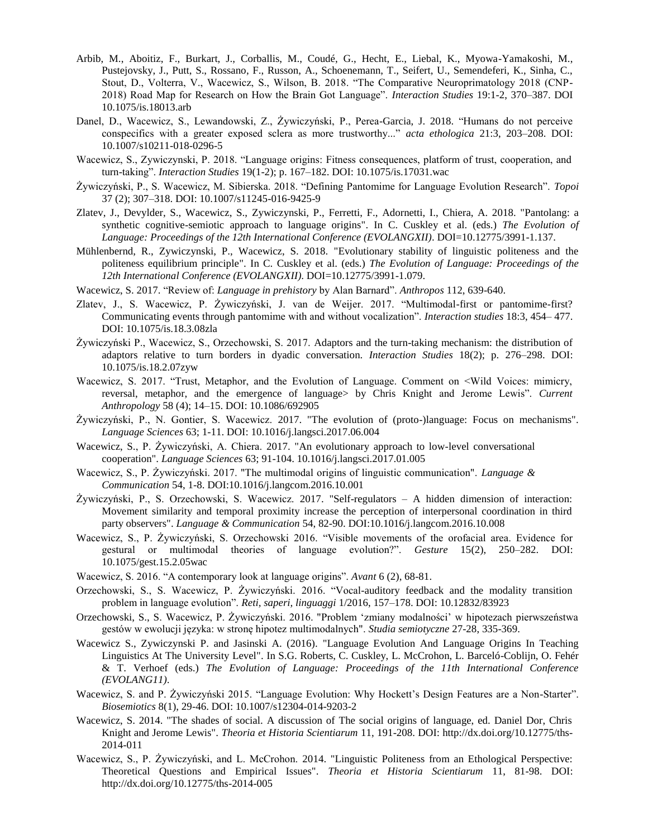- Arbib, M., Aboitiz, F., Burkart, J., Corballis, M., Coudé, G., Hecht, E., Liebal, K., Myowa-Yamakoshi, M., Pustejovsky, J., Putt, S., Rossano, F., Russon, A., Schoenemann, T., Seifert, U., Semendeferi, K., Sinha, C., Stout, D., Volterra, V., Wacewicz, S., Wilson, B. 2018. "The Comparative Neuroprimatology 2018 (CNP-2018) Road Map for Research on How the Brain Got Language". *Interaction Studies* 19:1-2, 370–387. DOI 10.1075/is.18013.arb
- Danel, D., Wacewicz, S., Lewandowski, Z., Żywiczyński, P., Perea-Garcia, J. 2018. "Humans do not perceive conspecifics with a greater exposed sclera as more trustworthy..." *acta ethologica* 21:3, 203–208. DOI: 10.1007/s10211-018-0296-5
- Wacewicz, S., Zywiczynski, P. 2018. "Language origins: Fitness consequences, platform of trust, cooperation, and turn-taking". *Interaction Studies* 19(1-2); p. 167–182. DOI: 10.1075/is.17031.wac
- Żywiczyński, P., S. Wacewicz, M. Sibierska. 2018. "Defining Pantomime for Language Evolution Research". *Topoi*  37 (2); 307–318. DOI: 10.1007/s11245-016-9425-9
- Zlatev, J., Devylder, S., Wacewicz, S., Zywiczynski, P., Ferretti, F., Adornetti, I., Chiera, A. 2018. "Pantolang: a synthetic cognitive-semiotic approach to language origins". In C. Cuskley et al. (eds.) *The Evolution of Language: Proceedings of the 12th International Conference (EVOLANGXII)*. DOI=10.12775/3991-1.137.
- Mühlenbernd, R., Zywiczynski, P., Wacewicz, S. 2018. "Evolutionary stability of linguistic politeness and the politeness equilibrium principle". In C. Cuskley et al. (eds.) *The Evolution of Language: Proceedings of the 12th International Conference (EVOLANGXII)*. DOI=10.12775/3991-1.079.
- Wacewicz, S. 2017. "Review of: *Language in prehistory* by Alan Barnard". *Anthropos* 112, 639-640.
- Zlatev, J., S. Wacewicz, P. Żywiczyński, J. van de Weijer. 2017. "Multimodal-first or pantomime-first? Communicating events through pantomime with and without vocalization". *Interaction studies* 18:3, 454– 477. DOI: 10.1075/is.18.3.08zla
- Żywiczyński P., Wacewicz, S., Orzechowski, S. 2017. Adaptors and the turn-taking mechanism: the distribution of adaptors relative to turn borders in dyadic conversation. *Interaction Studies* 18(2); p. 276–298. DOI: 10.1075/is.18.2.07zyw
- Wacewicz, S. 2017. "Trust, Metaphor, and the Evolution of Language. Comment on <Wild Voices: mimicry, reversal, metaphor, and the emergence of language> by Chris Knight and Jerome Lewis". *Current Anthropology* 58 (4); 14–15. DOI: 10.1086/692905
- Żywiczyński, P., N. Gontier, S. Wacewicz. 2017. "The evolution of (proto-)language: Focus on mechanisms". *Language Sciences* 63; 1-11. DOI: 10.1016/j.langsci.2017.06.004
- Wacewicz, S., P. Żywiczyński, A. Chiera. 2017. "An evolutionary approach to low-level conversational cooperation". *Language Sciences* 63; 91-104. 10.1016/j.langsci.2017.01.005
- Wacewicz, S., P. Żywiczyński. 2017. "The multimodal origins of linguistic communication". *Language & Communication* 54, 1-8. DOI:10.1016/j.langcom.2016.10.001
- Żywiczyński, P., S. Orzechowski, S. Wacewicz. 2017. "Self-regulators A hidden dimension of interaction: Movement similarity and temporal proximity increase the perception of interpersonal coordination in third party observers". *Language & Communication* 54, 82-90. DOI:10.1016/j.langcom.2016.10.008
- Wacewicz, S., P. Żywiczyński, S. Orzechowski 2016. "Visible movements of the orofacial area. Evidence for gestural or multimodal theories of language evolution?". *Gesture* 15(2), 250–282. DOI: 10.1075/gest.15.2.05wac
- Wacewicz, S. 2016. "A contemporary look at language origins". *Avant* 6 (2), 68-81.
- Orzechowski, S., S. Wacewicz, P. Żywiczyński. 2016. "Vocal-auditory feedback and the modality transition problem in language evolution". *Reti, saperi, linguaggi* 1/2016, 157–178. DOI: 10.12832/83923
- Orzechowski, S., S. Wacewicz, P. Żywiczyński. 2016. "Problem 'zmiany modalności' w hipotezach pierwszeństwa gestów w ewolucji języka: w stronę hipotez multimodalnych". *Studia semiotyczne* 27-28, 335-369.
- Wacewicz S., Zywiczynski P. and Jasinski A. (2016). "Language Evolution And Language Origins In Teaching Linguistics At The University Level". In S.G. Roberts, C. Cuskley, L. McCrohon, L. Barceló-Coblijn, O. Fehér & T. Verhoef (eds.) *The Evolution of Language: Proceedings of the 11th International Conference (EVOLANG11)*.
- Wacewicz, S. and P. Żywiczyński 2015. "Language Evolution: Why Hockett's Design Features are a Non-Starter". *Biosemiotics* 8(1), 29-46. DOI: 10.1007/s12304-014-9203-2
- Wacewicz, S. 2014. "The shades of social. A discussion of The social origins of language, ed. Daniel Dor, Chris Knight and Jerome Lewis". *Theoria et Historia Scientiarum* 11, 191-208. DOI: [http://dx.doi.org/10.12775/ths-](http://dx.doi.org/10.12775/ths-2014-011)[2014-011](http://dx.doi.org/10.12775/ths-2014-011)
- Wacewicz, S., P. Żywiczyński, and L. McCrohon. 2014. "Linguistic Politeness from an Ethological Perspective: Theoretical Questions and Empirical Issues". *Theoria et Historia Scientiarum* 11, 81-98. DOI[:](http://dx.doi.org/10.12775/ths-2014-005) <http://dx.doi.org/10.12775/ths-2014-005>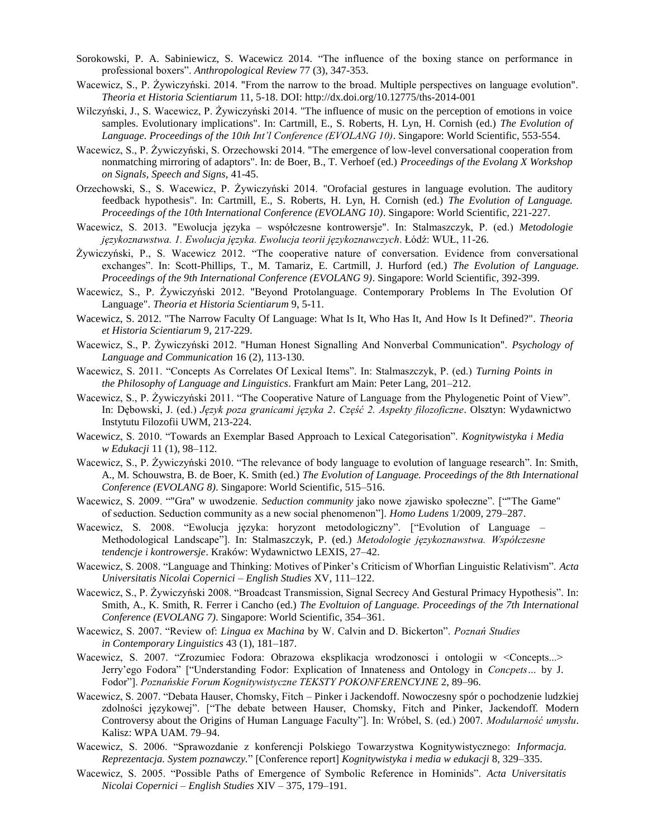- Sorokowski, P. A. Sabiniewicz, S. Wacewicz 2014. "The influence of the boxing stance on performance in professional boxers". *Anthropological Review* 77 (3), 347-353.
- Wacewicz, S., P. Żywiczyński. 2014. "From the narrow to the broad. Multiple perspectives on language evolution". *Theoria et Historia Scientiarum* 11, 5-18. DOI:<http://dx.doi.org/10.12775/ths-2014-001>
- Wilczyński, J., S. Wacewicz, P. Żywiczyński 2014. "The influence of music on the perception of emotions in voice samples. Evolutionary implications". In: Cartmill, E., S. Roberts, H. Lyn, H. Cornish (ed.) *The Evolution of Language. Proceedings of the 10th Int'l Conference (EVOLANG 10)*. Singapore: World Scientific, 553-554.
- Wacewicz, S., P. Żywiczyński, S. Orzechowski 2014. "The emergence of low-level conversational cooperation from nonmatching mirroring of adaptors". In: de Boer, B., T. Verhoef (ed.) *Proceedings of the Evolang X Workshop on Signals, Speech and Signs*, 41-45.
- Orzechowski, S., S. Wacewicz, P. Żywiczyński 2014. "Orofacial gestures in language evolution. The auditory feedback hypothesis". In: Cartmill, E., S. Roberts, H. Lyn, H. Cornish (ed.) *The Evolution of Language. Proceedings of the 10th International Conference (EVOLANG 10)*. Singapore: World Scientific, 221-227.
- Wacewicz, S. 2013. "Ewolucja języka współczesne kontrowersje". In: Stalmaszczyk, P. (ed.) *Metodologie językoznawstwa. 1. Ewolucja języka. Ewolucja teorii językoznawczych*. Łódź: WUŁ, 11-26.
- Żywiczyński, P., S. Wacewicz 2012. "The cooperative nature of conversation. Evidence from conversational exchanges". In: Scott-Phillips, T., M. Tamariz, E. Cartmill, J. Hurford (ed.) *The Evolution of Language. Proceedings of the 9th International Conference (EVOLANG 9)*. Singapore: World Scientific, 392-399.
- Wacewicz, S., P. Żywiczyński 2012. "Beyond Protolanguage. Contemporary Problems In The Evolution Of Language". *Theoria et Historia Scientiarum* 9, 5-11.
- Wacewicz, S. 2012. "The Narrow Faculty Of Language: What Is It, Who Has It, And How Is It Defined?". *Theoria et Historia Scientiarum* 9, 217-229.
- Wacewicz, S., P. Żywiczyński 2012. "Human Honest Signalling And Nonverbal Communication". *Psychology of Language and Communication* 16 (2), 113-130.
- Wacewicz, S. 2011. "Concepts As Correlates Of Lexical Items". In: Stalmaszczyk, P. (ed.) *Turning Points in the Philosophy of Language and Linguistics*. Frankfurt am Main: Peter Lang, 201–212.
- Wacewicz, S., P. Żywiczyński 2011. "The Cooperative Nature of Language from the Phylogenetic Point of View". In: Dębowski, J. (ed.) *Język poza granicami języka 2*. *Część 2. Aspekty filozoficzne*. Olsztyn: Wydawnictwo Instytutu Filozofii UWM, 213-224.
- Wacewicz, S. 2010. "Towards an Exemplar Based Approach to Lexical Categorisation". *Kognitywistyka i Media w Edukacji* 11 (1), 98–112.
- Wacewicz, S., P. Żywiczyński 2010. "The relevance of body language to evolution of language research". In: Smith, A., M. Schouwstra, B. de Boer, K. Smith (ed.) *The Evolution of Language. Proceedings of the 8th International Conference (EVOLANG 8)*. Singapore: World Scientific, 515–516.
- Wacewicz, S. 2009. ""Gra" w uwodzenie. *Seduction community* jako nowe zjawisko społeczne". [""The Game" of seduction. Seduction community as a new social phenomenon"]. *Homo Ludens* 1/2009, 279–287.
- Wacewicz, S. 2008. "Ewolucja języka: horyzont metodologiczny". ["Evolution of Language Methodological Landscape"]. In: Stalmaszczyk, P. (ed.) *Metodologie językoznawstwa. Współczesne tendencje i kontrowersje*. Kraków: Wydawnictwo LEXIS, 27–42.
- Wacewicz, S. 2008. "Language and Thinking: Motives of Pinker's Criticism of Whorfian Linguistic Relativism". *Acta Universitatis Nicolai Copernici* – *English Studies* XV, 111–122.
- Wacewicz, S., P. Żywiczyński 2008. "Broadcast Transmission, Signal Secrecy And Gestural Primacy Hypothesis". In: Smith, A., K. Smith, R. Ferrer i Cancho (ed.) *The Evoltuion of Language. Proceedings of the 7th International Conference (EVOLANG 7)*. Singapore: World Scientific, 354–361.
- Wacewicz, S. 2007. "Review of: *Lingua ex Machina* by W. Calvin and D. Bickerton". *Poznań Studies in Contemporary Linguistics* 43 (1), 181–187.
- Wacewicz, S. 2007. "Zrozumiec Fodora: Obrazowa eksplikacja wrodzonosci i ontologii w <Concepts...> Jerry'ego Fodora" ["Understanding Fodor: Explication of Innateness and Ontology in *Concpets…* by J. Fodor"]. *Poznańskie Forum Kognitywistyczne TEKSTY POKONFERENCYJNE* 2, 89–96.
- Wacewicz, S. 2007. "Debata Hauser, Chomsky, Fitch Pinker i Jackendoff. Nowoczesny spór o pochodzenie ludzkiej zdolności językowej". ["The debate between Hauser, Chomsky, Fitch and Pinker, Jackendoff. Modern Controversy about the Origins of Human Language Faculty"]. In: Wróbel, S. (ed.) 2007. *Modularność umysłu*. Kalisz: WPA UAM. 79–94.
- Wacewicz, S. 2006. "Sprawozdanie z konferencji Polskiego Towarzystwa Kognitywistycznego: *Informacja. Reprezentacja. System poznawczy.*" [Conference report] *Kognitywistyka i media w edukacji* 8, 329–335.
- Wacewicz, S. 2005. "Possible Paths of Emergence of Symbolic Reference in Hominids". *Acta Universitatis Nicolai Copernici – English Studies* XIV – 375, 179–191.